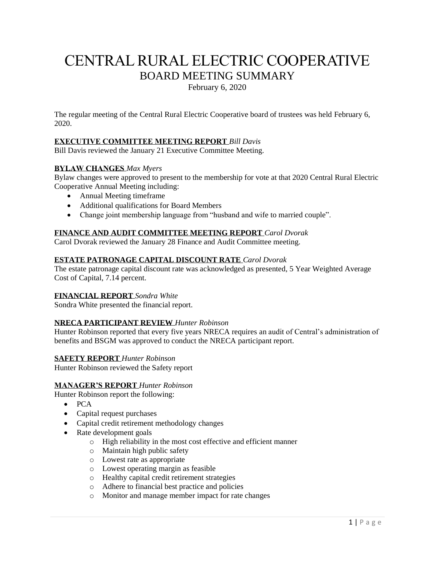# CENTRAL RURAL ELECTRIC COOPERATIVE BOARD MEETING SUMMARY

February 6, 2020

The regular meeting of the Central Rural Electric Cooperative board of trustees was held February 6, 2020.

## **EXECUTIVE COMMITTEE MEETING REPORT** *Bill Davis*

Bill Davis reviewed the January 21 Executive Committee Meeting.

## **BYLAW CHANGES** *Max Myers*

Bylaw changes were approved to present to the membership for vote at that 2020 Central Rural Electric Cooperative Annual Meeting including:

- Annual Meeting timeframe
- Additional qualifications for Board Members
- Change joint membership language from "husband and wife to married couple".

## **FINANCE AND AUDIT COMMITTEE MEETING REPORT** *Carol Dvorak*

Carol Dvorak reviewed the January 28 Finance and Audit Committee meeting.

## **ESTATE PATRONAGE CAPITAL DISCOUNT RATE** *Carol Dvorak*

The estate patronage capital discount rate was acknowledged as presented, 5 Year Weighted Average Cost of Capital, 7.14 percent.

## **FINANCIAL REPORT** *Sondra White*

Sondra White presented the financial report.

## **NRECA PARTICIPANT REVIEW** *Hunter Robinson*

Hunter Robinson reported that every five years NRECA requires an audit of Central's administration of benefits and BSGM was approved to conduct the NRECA participant report.

#### **SAFETY REPORT** *Hunter Robinson*

Hunter Robinson reviewed the Safety report

#### **MANAGER'S REPORT** *Hunter Robinson*

Hunter Robinson report the following:

- PCA
- Capital request purchases
- Capital credit retirement methodology changes
- Rate development goals
	- o High reliability in the most cost effective and efficient manner
	- o Maintain high public safety
	- o Lowest rate as appropriate
	- o Lowest operating margin as feasible
	- o Healthy capital credit retirement strategies
	- o Adhere to financial best practice and policies
	- o Monitor and manage member impact for rate changes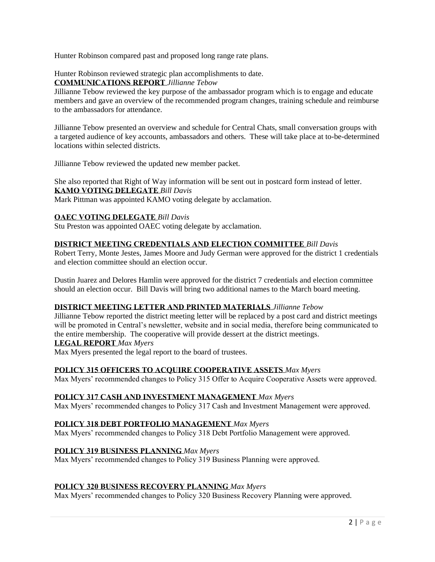Hunter Robinson compared past and proposed long range rate plans.

Hunter Robinson reviewed strategic plan accomplishments to date.

**COMMUNICATIONS REPORT** *Jillianne Tebow*

Jillianne Tebow reviewed the key purpose of the ambassador program which is to engage and educate members and gave an overview of the recommended program changes, training schedule and reimburse to the ambassadors for attendance.

Jillianne Tebow presented an overview and schedule for Central Chats, small conversation groups with a targeted audience of key accounts, ambassadors and others. These will take place at to-be-determined locations within selected districts.

Jillianne Tebow reviewed the updated new member packet.

She also reported that Right of Way information will be sent out in postcard form instead of letter. **KAMO VOTING DELEGATE** *Bill Davis* Mark Pittman was appointed KAMO voting delegate by acclamation.

# **OAEC VOTING DELEGATE** *Bill Davis*

Stu Preston was appointed OAEC voting delegate by acclamation.

## **DISTRICT MEETING CREDENTIALS AND ELECTION COMMITTEE** *Bill Davis*

Robert Terry, Monte Jestes, James Moore and Judy German were approved for the district 1 credentials and election committee should an election occur.

Dustin Juarez and Delores Hamlin were approved for the district 7 credentials and election committee should an election occur. Bill Davis will bring two additional names to the March board meeting.

## **DISTRICT MEETING LETTER AND PRINTED MATERIALS** *Jillianne Tebow*

Jillianne Tebow reported the district meeting letter will be replaced by a post card and district meetings will be promoted in Central's newsletter, website and in social media, therefore being communicated to the entire membership. The cooperative will provide dessert at the district meetings.

## **LEGAL REPORT** *Max Myers*

Max Myers presented the legal report to the board of trustees.

## **POLICY 315 OFFICERS TO ACQUIRE COOPERATIVE ASSETS** *Max Myers*

Max Myers' recommended changes to Policy 315 Offer to Acquire Cooperative Assets were approved.

## **POLICY 317 CASH AND INVESTMENT MANAGEMENT** *Max Myers*

Max Myers' recommended changes to Policy 317 Cash and Investment Management were approved.

# **POLICY 318 DEBT PORTFOLIO MANAGEMENT** *Max Myers*

Max Myers' recommended changes to Policy 318 Debt Portfolio Management were approved.

## **POLICY 319 BUSINESS PLANNING** *Max Myers*

Max Myers' recommended changes to Policy 319 Business Planning were approved.

## **POLICY 320 BUSINESS RECOVERY PLANNING** *Max Myers*

Max Myers' recommended changes to Policy 320 Business Recovery Planning were approved.